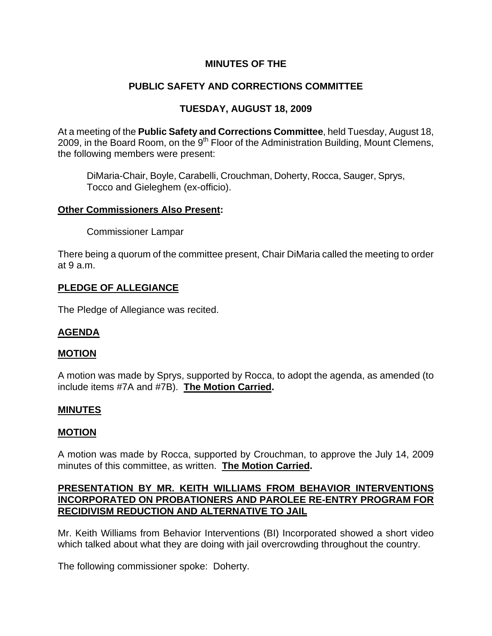## **MINUTES OF THE**

# **PUBLIC SAFETY AND CORRECTIONS COMMITTEE**

## **TUESDAY, AUGUST 18, 2009**

At a meeting of the **Public Safety and Corrections Committee**, held Tuesday, August 18, 2009, in the Board Room, on the  $9<sup>th</sup>$  Floor of the Administration Building, Mount Clemens, the following members were present:

DiMaria-Chair, Boyle, Carabelli, Crouchman, Doherty, Rocca, Sauger, Sprys, Tocco and Gieleghem (ex-officio).

#### **Other Commissioners Also Present:**

Commissioner Lampar

There being a quorum of the committee present, Chair DiMaria called the meeting to order at 9 a.m.

### **PLEDGE OF ALLEGIANCE**

The Pledge of Allegiance was recited.

#### **AGENDA**

#### **MOTION**

A motion was made by Sprys, supported by Rocca, to adopt the agenda, as amended (to include items #7A and #7B). **The Motion Carried.** 

### **MINUTES**

#### **MOTION**

A motion was made by Rocca, supported by Crouchman, to approve the July 14, 2009 minutes of this committee, as written. **The Motion Carried.** 

### **PRESENTATION BY MR. KEITH WILLIAMS FROM BEHAVIOR INTERVENTIONS INCORPORATED ON PROBATIONERS AND PAROLEE RE-ENTRY PROGRAM FOR RECIDIVISM REDUCTION AND ALTERNATIVE TO JAIL**

Mr. Keith Williams from Behavior Interventions (BI) Incorporated showed a short video which talked about what they are doing with jail overcrowding throughout the country.

The following commissioner spoke: Doherty.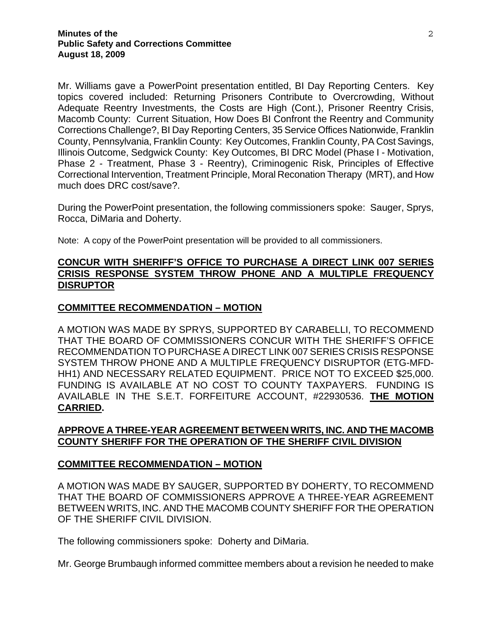Mr. Williams gave a PowerPoint presentation entitled, BI Day Reporting Centers. Key topics covered included: Returning Prisoners Contribute to Overcrowding, Without Adequate Reentry Investments, the Costs are High (Cont.), Prisoner Reentry Crisis, Macomb County: Current Situation, How Does BI Confront the Reentry and Community Corrections Challenge?, BI Day Reporting Centers, 35 Service Offices Nationwide, Franklin County, Pennsylvania, Franklin County: Key Outcomes, Franklin County, PA Cost Savings, Illinois Outcome, Sedgwick County: Key Outcomes, BI DRC Model (Phase I - Motivation, Phase 2 - Treatment, Phase 3 - Reentry), Criminogenic Risk, Principles of Effective Correctional Intervention, Treatment Principle, Moral Reconation Therapy (MRT), and How much does DRC cost/save?.

During the PowerPoint presentation, the following commissioners spoke: Sauger, Sprys, Rocca, DiMaria and Doherty.

Note: A copy of the PowerPoint presentation will be provided to all commissioners.

## **CONCUR WITH SHERIFF'S OFFICE TO PURCHASE A DIRECT LINK 007 SERIES CRISIS RESPONSE SYSTEM THROW PHONE AND A MULTIPLE FREQUENCY DISRUPTOR**

### **COMMITTEE RECOMMENDATION – MOTION**

A MOTION WAS MADE BY SPRYS, SUPPORTED BY CARABELLI, TO RECOMMEND THAT THE BOARD OF COMMISSIONERS CONCUR WITH THE SHERIFF'S OFFICE RECOMMENDATION TO PURCHASE A DIRECT LINK 007 SERIES CRISIS RESPONSE SYSTEM THROW PHONE AND A MULTIPLE FREQUENCY DISRUPTOR (ETG-MFD-HH1) AND NECESSARY RELATED EQUIPMENT. PRICE NOT TO EXCEED \$25,000. FUNDING IS AVAILABLE AT NO COST TO COUNTY TAXPAYERS. FUNDING IS AVAILABLE IN THE S.E.T. FORFEITURE ACCOUNT, #22930536. **THE MOTION CARRIED.** 

### **APPROVE A THREE-YEAR AGREEMENT BETWEEN WRITS, INC. AND THE MACOMB COUNTY SHERIFF FOR THE OPERATION OF THE SHERIFF CIVIL DIVISION**

#### **COMMITTEE RECOMMENDATION – MOTION**

A MOTION WAS MADE BY SAUGER, SUPPORTED BY DOHERTY, TO RECOMMEND THAT THE BOARD OF COMMISSIONERS APPROVE A THREE-YEAR AGREEMENT BETWEEN WRITS, INC. AND THE MACOMB COUNTY SHERIFF FOR THE OPERATION OF THE SHERIFF CIVIL DIVISION.

The following commissioners spoke: Doherty and DiMaria.

Mr. George Brumbaugh informed committee members about a revision he needed to make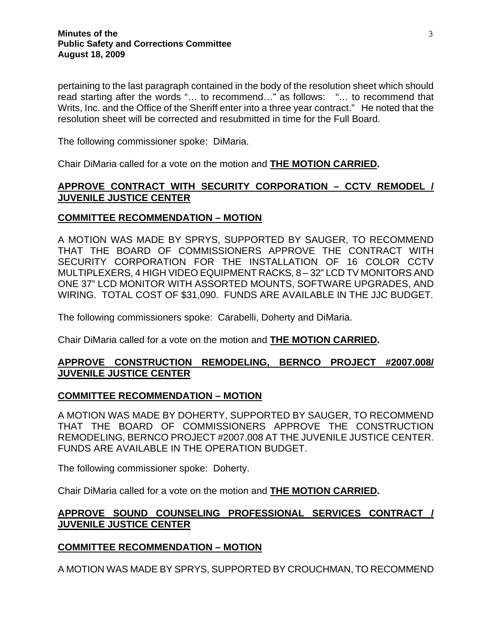pertaining to the last paragraph contained in the body of the resolution sheet which should read starting after the words "… to recommend…" as follows: "… to recommend that Writs, Inc. and the Office of the Sheriff enter into a three year contract." He noted that the resolution sheet will be corrected and resubmitted in time for the Full Board.

The following commissioner spoke: DiMaria.

Chair DiMaria called for a vote on the motion and **THE MOTION CARRIED.** 

## **APPROVE CONTRACT WITH SECURITY CORPORATION – CCTV REMODEL / JUVENILE JUSTICE CENTER**

#### **COMMITTEE RECOMMENDATION – MOTION**

A MOTION WAS MADE BY SPRYS, SUPPORTED BY SAUGER, TO RECOMMEND THAT THE BOARD OF COMMISSIONERS APPROVE THE CONTRACT WITH SECURITY CORPORATION FOR THE INSTALLATION OF 16 COLOR CCTV MULTIPLEXERS, 4 HIGH VIDEO EQUIPMENT RACKS, 8 – 32" LCD TV MONITORS AND ONE 37" LCD MONITOR WITH ASSORTED MOUNTS, SOFTWARE UPGRADES, AND WIRING. TOTAL COST OF \$31,090. FUNDS ARE AVAILABLE IN THE JJC BUDGET.

The following commissioners spoke: Carabelli, Doherty and DiMaria.

Chair DiMaria called for a vote on the motion and **THE MOTION CARRIED.** 

## **APPROVE CONSTRUCTION REMODELING, BERNCO PROJECT #2007.008/ JUVENILE JUSTICE CENTER**

### **COMMITTEE RECOMMENDATION – MOTION**

A MOTION WAS MADE BY DOHERTY, SUPPORTED BY SAUGER, TO RECOMMEND THAT THE BOARD OF COMMISSIONERS APPROVE THE CONSTRUCTION REMODELING, BERNCO PROJECT #2007.008 AT THE JUVENILE JUSTICE CENTER. FUNDS ARE AVAILABLE IN THE OPERATION BUDGET.

The following commissioner spoke: Doherty.

Chair DiMaria called for a vote on the motion and **THE MOTION CARRIED.** 

### **APPROVE SOUND COUNSELING PROFESSIONAL SERVICES CONTRACT / JUVENILE JUSTICE CENTER**

### **COMMITTEE RECOMMENDATION – MOTION**

A MOTION WAS MADE BY SPRYS, SUPPORTED BY CROUCHMAN, TO RECOMMEND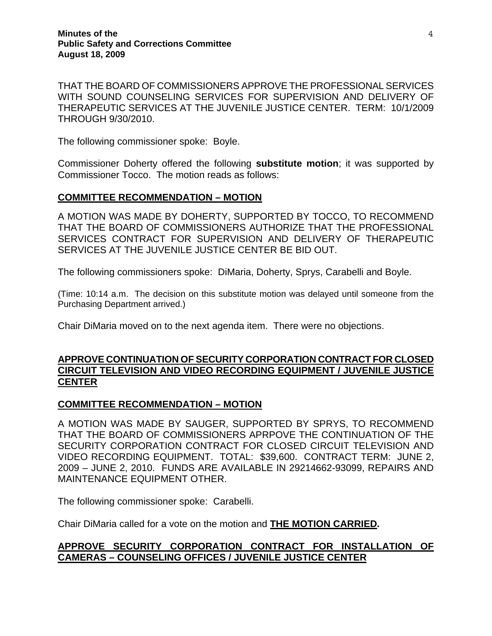THAT THE BOARD OF COMMISSIONERS APPROVE THE PROFESSIONAL SERVICES WITH SOUND COUNSELING SERVICES FOR SUPERVISION AND DELIVERY OF THERAPEUTIC SERVICES AT THE JUVENILE JUSTICE CENTER. TERM: 10/1/2009 THROUGH 9/30/2010.

The following commissioner spoke: Boyle.

Commissioner Doherty offered the following **substitute motion**; it was supported by Commissioner Tocco. The motion reads as follows:

### **COMMITTEE RECOMMENDATION – MOTION**

A MOTION WAS MADE BY DOHERTY, SUPPORTED BY TOCCO, TO RECOMMEND THAT THE BOARD OF COMMISSIONERS AUTHORIZE THAT THE PROFESSIONAL SERVICES CONTRACT FOR SUPERVISION AND DELIVERY OF THERAPEUTIC SERVICES AT THE JUVENILE JUSTICE CENTER BE BID OUT.

The following commissioners spoke: DiMaria, Doherty, Sprys, Carabelli and Boyle.

(Time: 10:14 a.m. The decision on this substitute motion was delayed until someone from the Purchasing Department arrived.)

Chair DiMaria moved on to the next agenda item. There were no objections.

#### **APPROVE CONTINUATION OF SECURITY CORPORATION CONTRACT FOR CLOSED CIRCUIT TELEVISION AND VIDEO RECORDING EQUIPMENT / JUVENILE JUSTICE CENTER**

#### **COMMITTEE RECOMMENDATION – MOTION**

A MOTION WAS MADE BY SAUGER, SUPPORTED BY SPRYS, TO RECOMMEND THAT THE BOARD OF COMMISSIONERS APRPOVE THE CONTINUATION OF THE SECURITY CORPORATION CONTRACT FOR CLOSED CIRCUIT TELEVISION AND VIDEO RECORDING EQUIPMENT. TOTAL: \$39,600. CONTRACT TERM: JUNE 2, 2009 – JUNE 2, 2010. FUNDS ARE AVAILABLE IN 29214662-93099, REPAIRS AND MAINTENANCE EQUIPMENT OTHER.

The following commissioner spoke: Carabelli.

Chair DiMaria called for a vote on the motion and **THE MOTION CARRIED.** 

#### **APPROVE SECURITY CORPORATION CONTRACT FOR INSTALLATION OF CAMERAS – COUNSELING OFFICES / JUVENILE JUSTICE CENTER**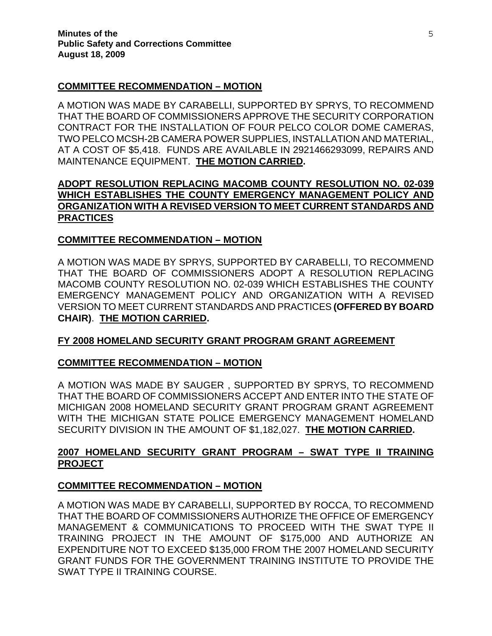### **COMMITTEE RECOMMENDATION – MOTION**

A MOTION WAS MADE BY CARABELLI, SUPPORTED BY SPRYS, TO RECOMMEND THAT THE BOARD OF COMMISSIONERS APPROVE THE SECURITY CORPORATION CONTRACT FOR THE INSTALLATION OF FOUR PELCO COLOR DOME CAMERAS, TWO PELCO MCSH-2B CAMERA POWER SUPPLIES, INSTALLATION AND MATERIAL, AT A COST OF \$5,418. FUNDS ARE AVAILABLE IN 2921466293099, REPAIRS AND MAINTENANCE EQUIPMENT. **THE MOTION CARRIED.** 

## **ADOPT RESOLUTION REPLACING MACOMB COUNTY RESOLUTION NO. 02-039 WHICH ESTABLISHES THE COUNTY EMERGENCY MANAGEMENT POLICY AND ORGANIZATION WITH A REVISED VERSION TO MEET CURRENT STANDARDS AND PRACTICES**

## **COMMITTEE RECOMMENDATION – MOTION**

A MOTION WAS MADE BY SPRYS, SUPPORTED BY CARABELLI, TO RECOMMEND THAT THE BOARD OF COMMISSIONERS ADOPT A RESOLUTION REPLACING MACOMB COUNTY RESOLUTION NO. 02-039 WHICH ESTABLISHES THE COUNTY EMERGENCY MANAGEMENT POLICY AND ORGANIZATION WITH A REVISED VERSION TO MEET CURRENT STANDARDS AND PRACTICES **(OFFERED BY BOARD CHAIR)**. **THE MOTION CARRIED.** 

# **FY 2008 HOMELAND SECURITY GRANT PROGRAM GRANT AGREEMENT**

### **COMMITTEE RECOMMENDATION – MOTION**

A MOTION WAS MADE BY SAUGER , SUPPORTED BY SPRYS, TO RECOMMEND THAT THE BOARD OF COMMISSIONERS ACCEPT AND ENTER INTO THE STATE OF MICHIGAN 2008 HOMELAND SECURITY GRANT PROGRAM GRANT AGREEMENT WITH THE MICHIGAN STATE POLICE EMERGENCY MANAGEMENT HOMELAND SECURITY DIVISION IN THE AMOUNT OF \$1,182,027. **THE MOTION CARRIED.** 

## **2007 HOMELAND SECURITY GRANT PROGRAM – SWAT TYPE II TRAINING PROJECT**

### **COMMITTEE RECOMMENDATION – MOTION**

A MOTION WAS MADE BY CARABELLI, SUPPORTED BY ROCCA, TO RECOMMEND THAT THE BOARD OF COMMISSIONERS AUTHORIZE THE OFFICE OF EMERGENCY MANAGEMENT & COMMUNICATIONS TO PROCEED WITH THE SWAT TYPE II TRAINING PROJECT IN THE AMOUNT OF \$175,000 AND AUTHORIZE AN EXPENDITURE NOT TO EXCEED \$135,000 FROM THE 2007 HOMELAND SECURITY GRANT FUNDS FOR THE GOVERNMENT TRAINING INSTITUTE TO PROVIDE THE SWAT TYPE II TRAINING COURSE.